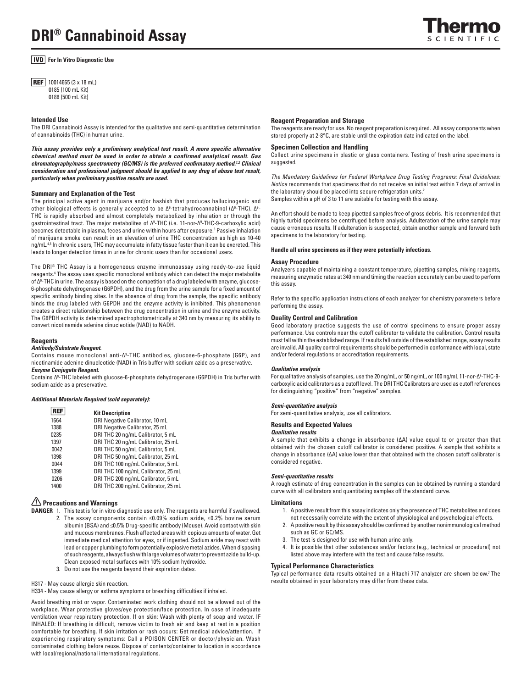# **DRI® Cannabinoid Assay**

**For In Vitro Diagnostic Use** 

**REF** 10014665 (3 x 18 mL) 0185 (100 mL Kit) 0186 (500 mL Kit)

### **Intended Use**

The DRI Cannabinoid Assay is intended for the qualitative and semi-quantitative determination of cannabinoids (THC) in human urine.

*This assay provides only a preliminary analytical test result. A more specific alternative chemical method must be used in order to obtain a confirmed analytical result. Gas chromatography/mass spectrometry (GC/MS) is the preferred confirmatory method.1,2 Clinical consideration and professional judgment should be applied to any drug of abuse test result, particularly when preliminary positive results are used.*

### **Summary and Explanation of the Test**

The principal active agent in marijuana and/or hashish that produces hallucinogenic and other biological effects is generally accepted to be Ƽ-tetrahydrocannabinol (∆º-THC). ∆º-THC is rapidly absorbed and almost completely metabolized by inhalation or through the gastrointestinal tract. The major metabolites of ∆9 -THC (i.e. 11-nor-∆9 -THC-9-carboxylic acid) becomes detectable in plasma, feces and urine within hours after exposure.<sup>3</sup> Passive inhalation of marijuana smoke can result in an elevation of urine THC concentration as high as 10-40 ng/mL.4,5 In chronic users, THC may accumulate in fatty tissue faster than it can be excreted. This leads to longer detection times in urine for chronic users than for occasional users.

The DRI® THC Assay is a homogeneous enzyme immunoassay using ready-to-use liquid reagents.<sup>6</sup> The assay uses specific monoclonal antibody which can detect the major metabolite of Ƽ-THC in urine. The assay is based on the competition of a drug labeled with enzyme, glucose-6-phosphate dehydrogenase (G6PDH), and the drug from the urine sample for a fixed amount of specific antibody binding sites. In the absence of drug from the sample, the specific antibody binds the drug labeled with G6PDH and the enzyme activity is inhibited. This phenomenon creates a direct relationship between the drug concentration in urine and the enzyme activity. The G6PDH activity is determined spectrophotometrically at 340 nm by measuring its ability to convert nicotinamide adenine dinucleotide (NAD) to NADH.

### **Reagents**

### *Antibody/Substrate Reagent.*

Contains mouse monoclonal anti-∆9 -THC antibodies, glucose-6-phosphate (G6P), and nicotinamide adenine dinucleotide (NAD) in Tris buffer with sodium azide as a preservative. *Enzyme Conjugate Reagent.* 

Contains ∆9 -THC labeled with glucose-6-phosphate dehydrogenase (G6PDH) in Tris buffer with sodium azide as a preservative.

### *Additional Materials Required (sold separately):*

### **REF Kit Description**

| 1664 | DRI Negative Calibrator, 10 mL      |
|------|-------------------------------------|
| 1388 | DRI Negative Calibrator, 25 mL      |
| 0235 | DRI THC 20 ng/mL Calibrator, 5 mL   |
| 1397 | DRI THC 20 ng/mL Calibrator, 25 mL  |
| 0042 | DRI THC 50 ng/mL Calibrator, 5 mL   |
| 1398 | DRI THC 50 ng/mL Calibrator, 25 mL  |
| 0044 | DRI THC 100 ng/mL Calibrator, 5 mL  |
| 1399 | DRI THC 100 ng/mL Calibrator, 25 mL |
| 0206 | DRI THC 200 ng/mL Calibrator, 5 mL  |
| 1400 | DRI THC 200 ng/mL Calibrator, 25 mL |

### **Precautions and Warnings**

- **DANGER** 1. This test is for in vitro diagnostic use only. The reagents are harmful if swallowed. 2. The assay components contain ≤0.09% sodium azide, ≤0.2% bovine serum albumin (BSA) and ≤0.5% Drug-specific antibody (Mouse). Avoid contact with skin and mucous membranes. Flush affected areas with copious amounts of water. Get immediate medical attention for eyes, or if ingested. Sodium azide may react with lead or copper plumbing to form potentially explosive metal azides. When disposing of such reagents, always flush with large volumes of water to prevent azide build-up. Clean exposed metal surfaces with 10% sodium hydroxide.
	- 3. Do not use the reagents beyond their expiration dates.

H317 - May cause allergic skin reaction.

H334 - May cause allergy or asthma symptoms or breathing difficulties if inhaled.

Avoid breathing mist or vapor. Contaminated work clothing should not be allowed out of the workplace. Wear protective gloves/eye protection/face protection. In case of inadequate ventilation wear respiratory protection. If on skin: Wash with plenty of soap and water. IF INHALED: If breathing is difficult, remove victim to fresh air and keep at rest in a position comfortable for breathing. If skin irritation or rash occurs: Get medical advice/attention. If experiencing respiratory symptoms: Call a POISON CENTER or doctor/physician. Wash contaminated clothing before reuse. Dispose of contents/container to location in accordance with local/regional/national international regulations.

### **Reagent Preparation and Storage**

The reagents are ready for use. No reagent preparation is required. All assay components when stored properly at 2-8°C, are stable until the expiration date indicated on the label.

### **Specimen Collection and Handling**

Collect urine specimens in plastic or glass containers. Testing of fresh urine specimens is suggested.

*The Mandatory Guidelines for Federal Workplace Drug Testing Programs: Final Guidelines: Notice* recommends that specimens that do not receive an initial test within 7 days of arrival in the laboratory should be placed into secure refrigeration units.<sup>2</sup> Samples within a pH of 3 to 11 are suitable for testing with this assay.

An effort should be made to keep pipetted samples free of gross debris. It is recommended that highly turbid specimens be centrifuged before analysis. Adulteration of the urine sample may cause erroneous results. If adulteration is suspected, obtain another sample and forward both specimens to the laboratory for testing.

### **Handle all urine specimens as if they were potentially infectious.**

### **Assay Procedure**

Analyzers capable of maintaining a constant temperature, pipetting samples, mixing reagents, measuring enzymatic rates at 340 nm and timing the reaction accurately can be used to perform this assay.

Refer to the specific application instructions of each analyzer for chemistry parameters before performing the assay.

### **Quality Control and Calibration**

Good laboratory practice suggests the use of control specimens to ensure proper assay performance. Use controls near the cutoff calibrator to validate the calibration. Control results must fall within the established range. If results fall outside of the established range, assay results are invalid. All quality control requirements should be performed in conformance with local, state and/or federal regulations or accreditation requirements.

### *Qualitative analysis*

For qualitative analysis of samples, use the 20 ng/mL, or 50 ng/mL, or 100 ng/mL 11-nor-Ƽ-THC-9carboxylic acid calibrators as a cutoff level. The DRI THC Calibrators are used as cutoff references for distinguishing "positive" from "negative" samples.

### *Semi-quantitative analysis*

For semi-quantitative analysis, use all calibrators.

## **Results and Expected Values**

### *Qualitative results*

A sample that exhibits a change in absorbance (∆A) value equal to or greater than that obtained with the chosen cutoff calibrator is considered positive. A sample that exhibits a change in absorbance (∆A) value lower than that obtained with the chosen cutoff calibrator is considered negative.

### *Semi-quantitative results*

A rough estimate of drug concentration in the samples can be obtained by running a standard curve with all calibrators and quantitating samples off the standard curve.

### **Limitations**

- 1. A positive result from this assay indicates only the presence of THC metabolites and does not necessarily correlate with the extent of physiological and psychological effects.
- 2. A positive result by this assay should be confirmed by another nonimmunological method such as GC or GC/MS.
- 3. The test is designed for use with human urine only.
- 4. It is possible that other substances and/or factors (e.g., technical or procedural) not listed above may interfere with the test and cause false results.

### **Typical Performance Characteristics**

Typical performance data results obtained on a Hitachi 717 analyzer are shown below.<sup>7</sup> The results obtained in your laboratory may differ from these data.